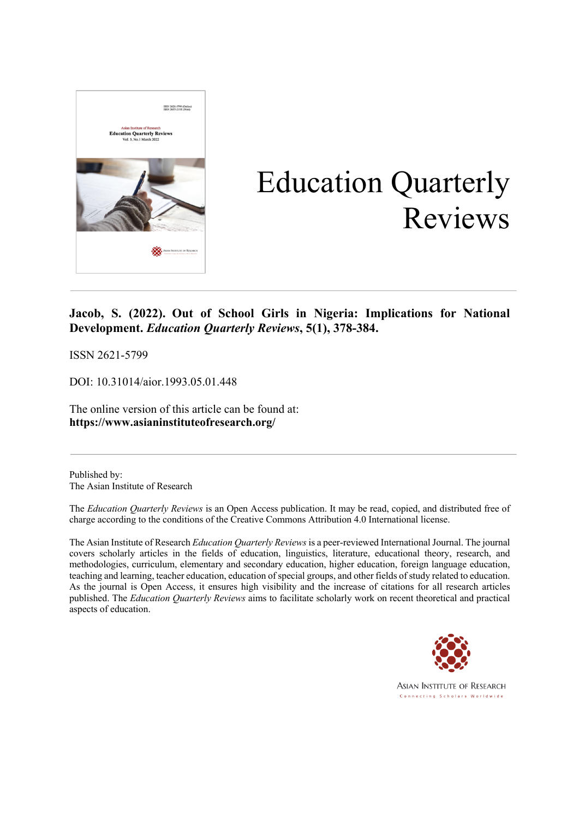

# Education Quarterly Reviews

### **Jacob, S. (2022). Out of School Girls in Nigeria: Implications for National Development.** *Education Quarterly Reviews***, 5(1), 378-384.**

ISSN 2621-5799

DOI: 10.31014/aior.1993.05.01.448

The online version of this article can be found at: **https://www.asianinstituteofresearch.org/**

Published by: The Asian Institute of Research

The *Education Quarterly Reviews* is an Open Access publication. It may be read, copied, and distributed free of charge according to the conditions of the Creative Commons Attribution 4.0 International license.

The Asian Institute of Research *Education Quarterly Reviews* is a peer-reviewed International Journal. The journal covers scholarly articles in the fields of education, linguistics, literature, educational theory, research, and methodologies, curriculum, elementary and secondary education, higher education, foreign language education, teaching and learning, teacher education, education of special groups, and other fields of study related to education. As the journal is Open Access, it ensures high visibility and the increase of citations for all research articles published. The *Education Quarterly Reviews* aims to facilitate scholarly work on recent theoretical and practical aspects of education.

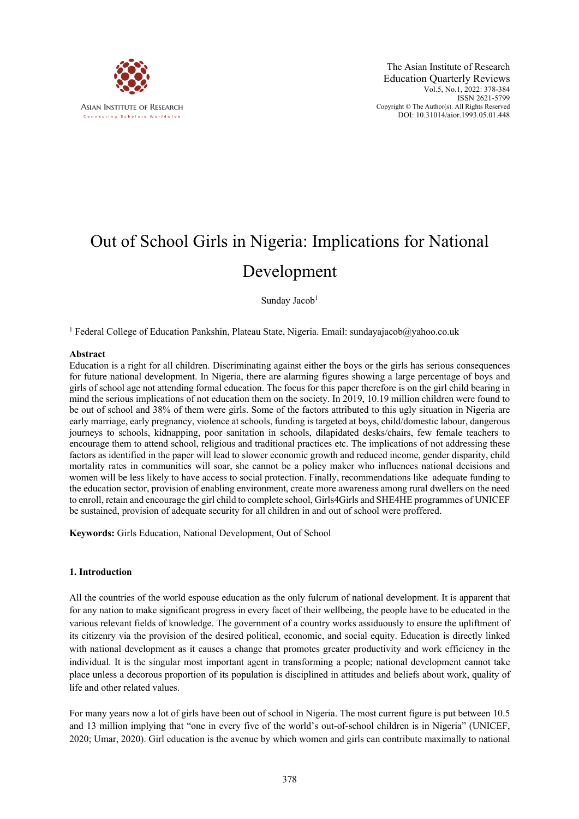

## Out of School Girls in Nigeria: Implications for National Development

Sunday Jacob<sup>1</sup>

<sup>1</sup> Federal College of Education Pankshin, Plateau State, Nigeria. Email: sundayajacob@yahoo.co.uk

#### **Abstract**

Education is a right for all children. Discriminating against either the boys or the girls has serious consequences for future national development. In Nigeria, there are alarming figures showing a large percentage of boys and girls of school age not attending formal education. The focus for this paper therefore is on the girl child bearing in mind the serious implications of not education them on the society. In 2019, 10.19 million children were found to be out of school and 38% of them were girls. Some of the factors attributed to this ugly situation in Nigeria are early marriage, early pregnancy, violence at schools, funding is targeted at boys, child/domestic labour, dangerous journeys to schools, kidnapping, poor sanitation in schools, dilapidated desks/chairs, few female teachers to encourage them to attend school, religious and traditional practices etc. The implications of not addressing these factors as identified in the paper will lead to slower economic growth and reduced income, gender disparity, child mortality rates in communities will soar, she cannot be a policy maker who influences national decisions and women will be less likely to have access to social protection. Finally, recommendations like adequate funding to the education sector, provision of enabling environment, create more awareness among rural dwellers on the need to enroll, retain and encourage the girl child to complete school, Girls4Girls and SHE4HE programmes of UNICEF be sustained, provision of adequate security for all children in and out of school were proffered.

**Keywords:** Girls Education, National Development, Out of School

#### **1. Introduction**

All the countries of the world espouse education as the only fulcrum of national development. It is apparent that for any nation to make significant progress in every facet of their wellbeing, the people have to be educated in the various relevant fields of knowledge. The government of a country works assiduously to ensure the upliftment of its citizenry via the provision of the desired political, economic, and social equity. Education is directly linked with national development as it causes a change that promotes greater productivity and work efficiency in the individual. It is the singular most important agent in transforming a people; national development cannot take place unless a decorous proportion of its population is disciplined in attitudes and beliefs about work, quality of life and other related values.

For many years now a lot of girls have been out of school in Nigeria. The most current figure is put between 10.5 and 13 million implying that "one in every five of the world's out-of-school children is in Nigeria" (UNICEF, 2020; Umar, 2020). Girl education is the avenue by which women and girls can contribute maximally to national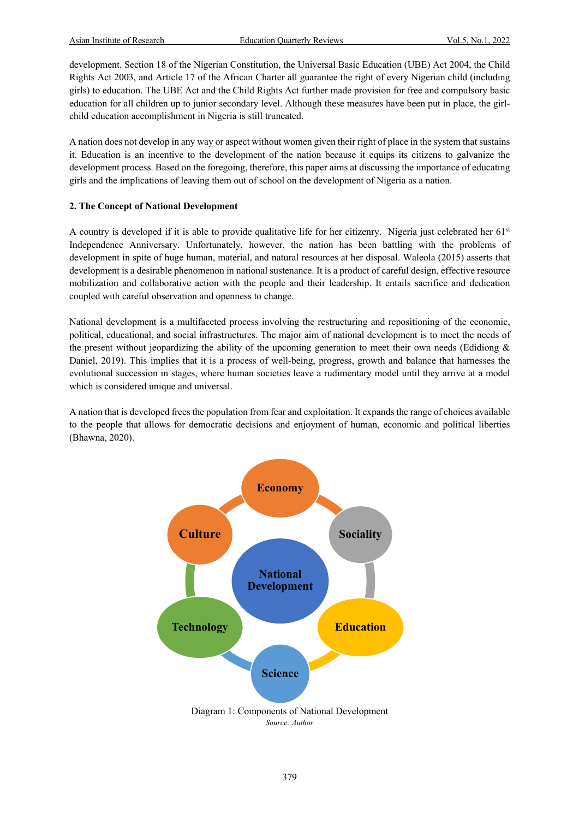development. Section 18 of the Nigerian Constitution, the Universal Basic Education (UBE) Act 2004, the Child Rights Act 2003, and Article 17 of the African Charter all guarantee the right of every Nigerian child (including girls) to education. The UBE Act and the Child Rights Act further made provision for free and compulsory basic education for all children up to junior secondary level. Although these measures have been put in place, the girlchild education accomplishment in Nigeria is still truncated.

A nation does not develop in any way or aspect without women given their right of place in the system that sustains it. Education is an incentive to the development of the nation because it equips its citizens to galvanize the development process. Based on the foregoing, therefore, this paper aims at discussing the importance of educating girls and the implications of leaving them out of school on the development of Nigeria as a nation.

#### **2. The Concept of National Development**

A country is developed if it is able to provide qualitative life for her citizenry. Nigeria just celebrated her  $61<sup>st</sup>$ Independence Anniversary. Unfortunately, however, the nation has been battling with the problems of development in spite of huge human, material, and natural resources at her disposal. Waleola (2015) asserts that development is a desirable phenomenon in national sustenance. It is a product of careful design, effective resource mobilization and collaborative action with the people and their leadership. It entails sacrifice and dedication coupled with careful observation and openness to change.

National development is a multifaceted process involving the restructuring and repositioning of the economic, political, educational, and social infrastructures. The major aim of national development is to meet the needs of the present without jeopardizing the ability of the upcoming generation to meet their own needs (Edidiong  $\&$ Daniel, 2019). This implies that it is a process of well-being, progress, growth and balance that harnesses the evolutional succession in stages, where human societies leave a rudimentary model until they arrive at a model which is considered unique and universal.

A nation that is developed frees the population from fear and exploitation. It expands the range of choices available to the people that allows for democratic decisions and enjoyment of human, economic and political liberties (Bhawna, 2020).

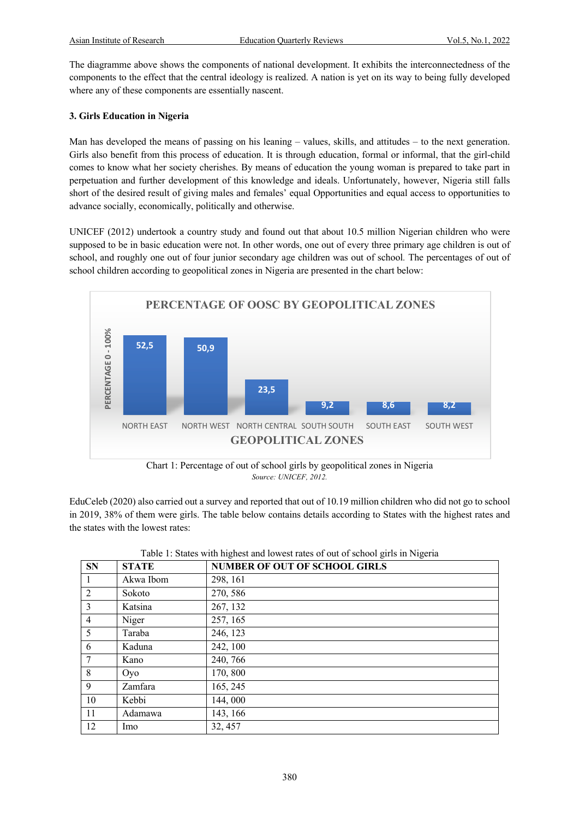The diagramme above shows the components of national development. It exhibits the interconnectedness of the components to the effect that the central ideology is realized. A nation is yet on its way to being fully developed where any of these components are essentially nascent.

#### **3. Girls Education in Nigeria**

Man has developed the means of passing on his leaning – values, skills, and attitudes – to the next generation. Girls also benefit from this process of education. It is through education, formal or informal, that the girl-child comes to know what her society cherishes. By means of education the young woman is prepared to take part in perpetuation and further development of this knowledge and ideals. Unfortunately, however, Nigeria still falls short of the desired result of giving males and females' equal Opportunities and equal access to opportunities to advance socially, economically, politically and otherwise.

UNICEF (2012) undertook a country study and found out that about 10.5 million Nigerian children who were supposed to be in basic education were not. In other words, one out of every three primary age children is out of school, and roughly one out of four junior secondary age children was out of school*.* The percentages of out of school children according to geopolitical zones in Nigeria are presented in the chart below:



Chart 1: Percentage of out of school girls by geopolitical zones in Nigeria *Source: UNICEF, 2012.*

EduCeleb (2020) also carried out a survey and reported that out of 10.19 million children who did not go to school in 2019, 38% of them were girls. The table below contains details according to States with the highest rates and the states with the lowest rates:

| <b>SN</b>      | <b>STATE</b> | <b>NUMBER OF OUT OF SCHOOL GIRLS</b> |
|----------------|--------------|--------------------------------------|
| $\mathbf{1}$   | Akwa Ibom    | 298, 161                             |
| 2              | Sokoto       | 270, 586                             |
| 3              | Katsina      | 267, 132                             |
| $\overline{4}$ | Niger        | 257, 165                             |
| 5              | Taraba       | 246, 123                             |
| 6              | Kaduna       | 242, 100                             |
| 7              | Kano         | 240, 766                             |
| 8              | Oyo          | 170,800                              |
| 9              | Zamfara      | 165, 245                             |
| 10             | Kebbi        | 144,000                              |
| 11             | Adamawa      | 143, 166                             |
| 12             | <b>Imo</b>   | 32, 457                              |

Table 1: States with highest and lowest rates of out of school girls in Nigeria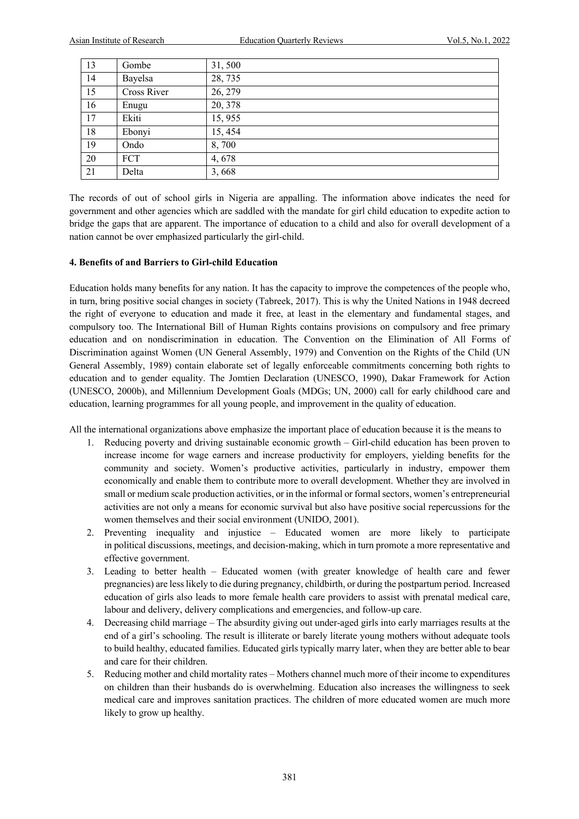| 13 | Gombe       | 31,500  |
|----|-------------|---------|
| 14 | Bayelsa     | 28,735  |
| 15 | Cross River | 26, 279 |
| 16 | Enugu       | 20, 378 |
| 17 | Ekiti       | 15,955  |
| 18 | Ebonyi      | 15, 454 |
| 19 | Ondo        | 8,700   |
| 20 | <b>FCT</b>  | 4,678   |
| 21 | Delta       | 3,668   |

The records of out of school girls in Nigeria are appalling. The information above indicates the need for government and other agencies which are saddled with the mandate for girl child education to expedite action to bridge the gaps that are apparent. The importance of education to a child and also for overall development of a nation cannot be over emphasized particularly the girl-child.

#### **4. Benefits of and Barriers to Girl-child Education**

Education holds many benefits for any nation. It has the capacity to improve the competences of the people who, in turn, bring positive social changes in society (Tabreek, 2017). This is why the United Nations in 1948 decreed the right of everyone to education and made it free, at least in the elementary and fundamental stages, and compulsory too. The International Bill of Human Rights contains provisions on compulsory and free primary education and on nondiscrimination in education. The Convention on the Elimination of All Forms of Discrimination against Women (UN General Assembly, 1979) and Convention on the Rights of the Child (UN General Assembly, 1989) contain elaborate set of legally enforceable commitments concerning both rights to education and to gender equality. The Jomtien Declaration (UNESCO, 1990), Dakar Framework for Action (UNESCO, 2000b), and Millennium Development Goals (MDGs; UN, 2000) call for early childhood care and education, learning programmes for all young people, and improvement in the quality of education.

All the international organizations above emphasize the important place of education because it is the means to

- 1. Reducing poverty and driving sustainable economic growth Girl-child education has been proven to increase income for wage earners and increase productivity for employers, yielding benefits for the community and society. Women's productive activities, particularly in industry, empower them economically and enable them to contribute more to overall development. Whether they are involved in small or medium scale production activities, or in the informal or formal sectors, women's entrepreneurial activities are not only a means for economic survival but also have positive social repercussions for the women themselves and their social environment (UNIDO, 2001).
- 2. Preventing inequality and injustice Educated women are more likely to participate in political discussions, meetings, and decision-making, which in turn promote a more representative and effective government.
- 3. Leading to better health Educated women (with greater knowledge of health care and fewer pregnancies) are less likely to die during pregnancy, childbirth, or during the postpartum period. Increased education of girls also leads to more female health care providers to assist with prenatal medical care, labour and delivery, delivery complications and emergencies, and follow-up care.
- 4. Decreasing child marriage The absurdity giving out under-aged girls into early marriages results at the end of a girl's schooling. The result is illiterate or barely literate young mothers without adequate tools to build healthy, educated families. Educated girls typically marry later, when they are better able to bear and care for their children.
- 5. Reducing mother and child mortality rates Mothers channel much more of their income to expenditures on children than their husbands do is overwhelming. Education also increases the willingness to seek medical care and improves sanitation practices. The children of more educated women are much more likely to grow up healthy.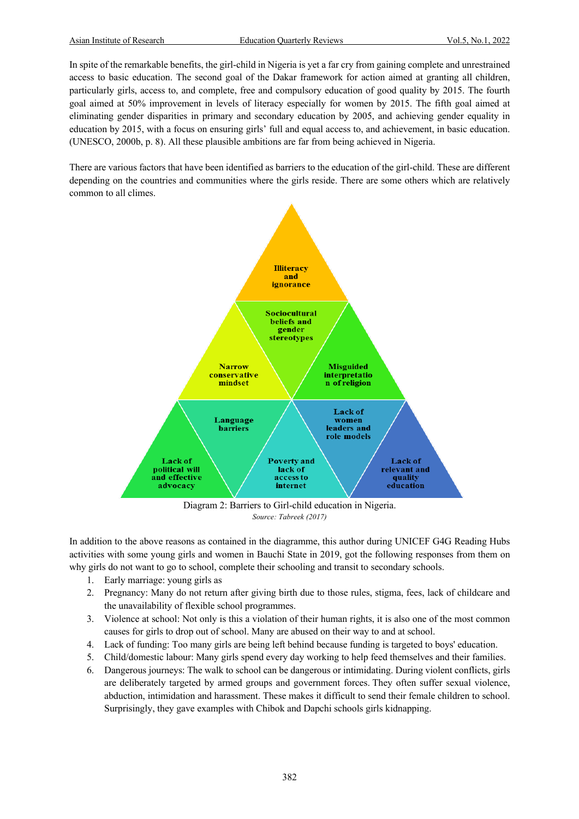In spite of the remarkable benefits, the girl-child in Nigeria is yet a far cry from gaining complete and unrestrained access to basic education. The second goal of the Dakar framework for action aimed at granting all children, particularly girls, access to, and complete, free and compulsory education of good quality by 2015. The fourth goal aimed at 50% improvement in levels of literacy especially for women by 2015. The fifth goal aimed at eliminating gender disparities in primary and secondary education by 2005, and achieving gender equality in education by 2015, with a focus on ensuring girls' full and equal access to, and achievement, in basic education. (UNESCO, 2000b, p. 8). All these plausible ambitions are far from being achieved in Nigeria.

There are various factors that have been identified as barriers to the education of the girl-child. These are different depending on the countries and communities where the girls reside. There are some others which are relatively common to all climes.



*Source: Tabreek (2017)*

In addition to the above reasons as contained in the diagramme, this author during UNICEF G4G Reading Hubs activities with some young girls and women in Bauchi State in 2019, got the following responses from them on why girls do not want to go to school, complete their schooling and transit to secondary schools.

- 1. Early marriage: young girls as
- 2. Pregnancy: Many do not return after giving birth due to those rules, stigma, fees, lack of childcare and the unavailability of flexible school programmes.
- 3. Violence at school: Not only is this a violation of their human rights, it is also one of the most common causes for girls to drop out of school. Many are abused on their way to and at school.
- 4. Lack of funding: Too many girls are being left behind because funding is targeted to boys' education.
- 5. Child/domestic labour: Many girls spend every day working to help feed themselves and their families.
- 6. Dangerous journeys: The walk to school can be dangerous or intimidating. During violent conflicts, girls are deliberately targeted by armed groups and government forces. They often suffer sexual violence, abduction, intimidation and harassment. These makes it difficult to send their female children to school. Surprisingly, they gave examples with Chibok and Dapchi schools girls kidnapping.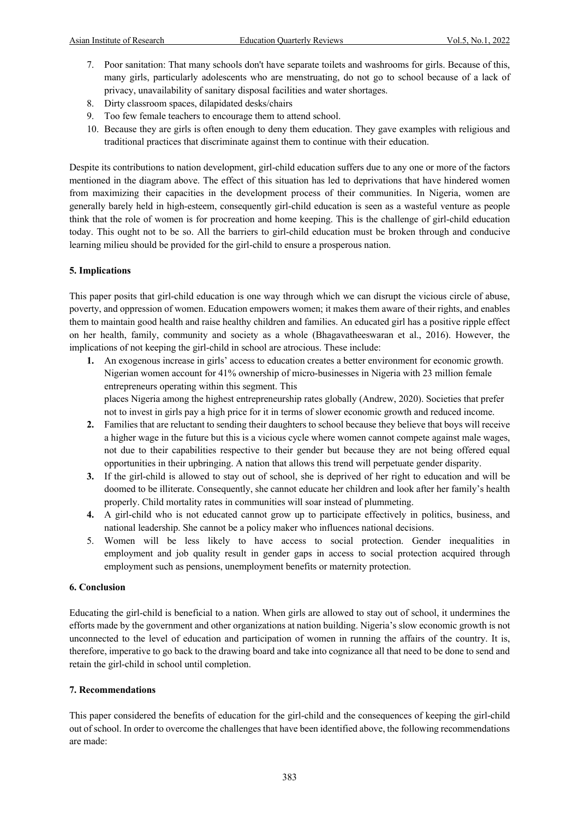- 7. Poor sanitation: That many schools don't have separate toilets and washrooms for girls. Because of this, many girls, particularly adolescents who are menstruating, do not go to school because of a lack of privacy, unavailability of sanitary disposal facilities and water shortages.
- 8. Dirty classroom spaces, dilapidated desks/chairs
- 9. Too few female teachers to encourage them to attend school.
- 10. Because they are girls is often enough to deny them education. They gave examples with religious and traditional practices that discriminate against them to continue with their education.

Despite its contributions to nation development, girl-child education suffers due to any one or more of the factors mentioned in the diagram above. The effect of this situation has led to deprivations that have hindered women from maximizing their capacities in the development process of their communities. In Nigeria, women are generally barely held in high-esteem, consequently girl-child education is seen as a wasteful venture as people think that the role of women is for procreation and home keeping. This is the challenge of girl-child education today. This ought not to be so. All the barriers to girl-child education must be broken through and conducive learning milieu should be provided for the girl-child to ensure a prosperous nation.

#### **5. Implications**

This paper posits that girl-child education is one way through which we can disrupt the vicious circle of abuse, poverty, and oppression of women. Education empowers women; it makes them aware of their rights, and enables them to maintain good health and raise healthy children and families. An educated girl has a positive ripple effect on her health, family, community and society as a whole (Bhagavatheeswaran et al., 2016). However, the implications of not keeping the girl-child in school are atrocious. These include:

**1.** An exogenous increase in girls' access to education creates a better environment for economic growth. Nigerian women account for 41% ownership of micro-businesses in Nigeria with 23 million female entrepreneurs operating within this segment. This places Nigeria among the highest entrepreneurship rates globally (Andrew, 2020). Societies that prefer

not to invest in girls pay a high price for it in terms of slower economic growth and reduced income.

- **2.** Families that are reluctant to sending their daughters to school because they believe that boys will receive a higher wage in the future but this is a vicious cycle where women cannot compete against male wages, not due to their capabilities respective to their gender but because they are not being offered equal opportunities in their upbringing. A nation that allows this trend will perpetuate gender disparity.
- **3.** If the girl-child is allowed to stay out of school, she is deprived of her right to education and will be doomed to be illiterate. Consequently, she cannot educate her children and look after her family's health properly. Child mortality rates in communities will soar instead of plummeting.
- **4.** A girl-child who is not educated cannot grow up to participate effectively in politics, business, and national leadership. She cannot be a policy maker who influences national decisions.
- 5. Women will be less likely to have access to social protection. Gender inequalities in employment and job quality result in gender gaps in access to social protection acquired through employment such as pensions, unemployment benefits or maternity protection.

#### **6. Conclusion**

Educating the girl-child is beneficial to a nation. When girls are allowed to stay out of school, it undermines the efforts made by the government and other organizations at nation building. Nigeria's slow economic growth is not unconnected to the level of education and participation of women in running the affairs of the country. It is, therefore, imperative to go back to the drawing board and take into cognizance all that need to be done to send and retain the girl-child in school until completion.

#### **7. Recommendations**

This paper considered the benefits of education for the girl-child and the consequences of keeping the girl-child out of school. In order to overcome the challenges that have been identified above, the following recommendations are made: